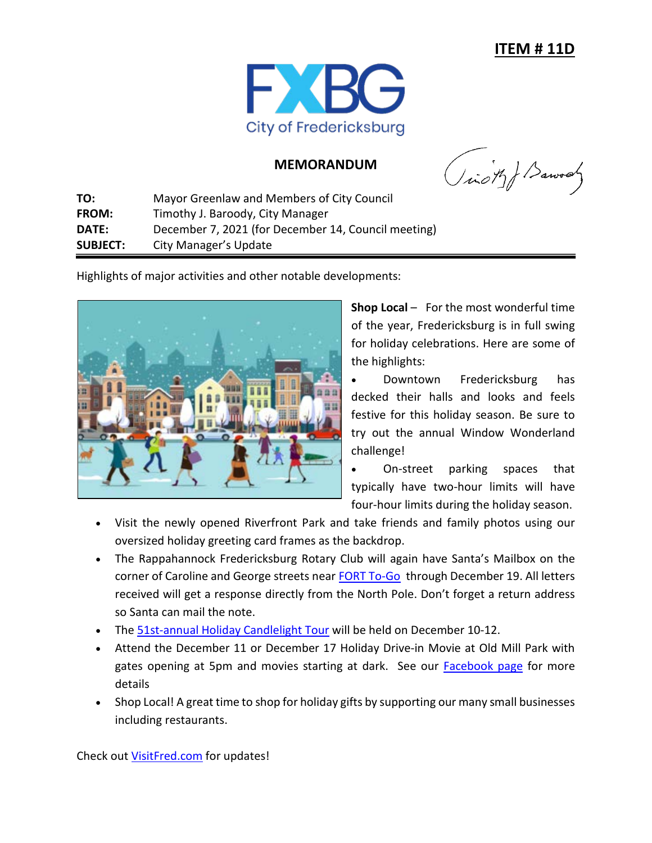

## **MEMORANDUM**

(ich) Barroady

**TO:** Mayor Greenlaw and Members of City Council **FROM:** Timothy J. Baroody, City Manager **DATE:** December 7, 2021 (for December 14, Council meeting) **SUBJECT:** City Manager's Update

Highlights of major activities and other notable developments:



**Shop Local** – For the most wonderful time of the year, Fredericksburg is in full swing for holiday celebrations. Here are some of the highlights:

• Downtown Fredericksburg has decked their halls and looks and feels festive for this holiday season. Be sure to try out the annual Window Wonderland challenge!

• On-street parking spaces that typically have two-hour limits will have four-hour limits during the holiday season.

- Visit the newly opened Riverfront Park and take friends and family photos using our oversized holiday greeting card frames as the backdrop.
- The Rappahannock Fredericksburg Rotary Club will again have Santa's Mailbox on the corner of Caroline and George streets near [FORT To-Go](https://www.forttogo.com/) through December 19. All letters received will get a response directly from the North Pole. Don't forget a return address so Santa can mail the note.
- The [51st-annual Holiday Candlelight Tour](https://hffi.org/holiday-candlelight-tour/) will be held on December 10-12.
- Attend the December 11 or December 17 Holiday Drive-in Movie at Old Mill Park with gates opening at 5pm and movies starting at dark. See our **Facebook page** for more details
- Shop Local! A great time to shop for holiday gifts by supporting our many small businesses including restaurants.

Check out [VisitFred.com](http://visitfred.com/) for updates!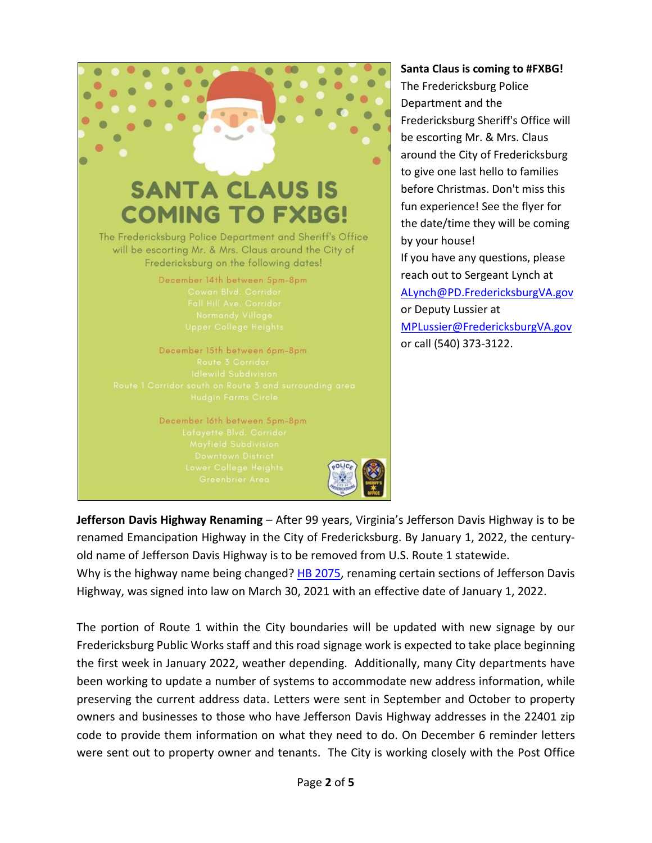

## **Santa Claus is coming to [#FXBG!](https://www.facebook.com/hashtag/fxbg?__eep__=6&__cft__%5b0%5d=AZU39jsE6yMUh3QYrDBddWLIvtaCH_LpW8IW5vAISYN8B_jwf6GKdVs_czMV0I5FgZrc4BFflS_xC8Y9AxItlJcxfLC7kt2vugAAjC35zUUnlE0kyK3LTSGqOGwSS80Es1THV-laGMhzqgEcRDucWCwy&__tn__=*NK-R)**

The Fredericksburg Police Department and the [Fredericksburg](https://www.facebook.com/FXBGSheriff/?__cft__%5b0%5d=AZU39jsE6yMUh3QYrDBddWLIvtaCH_LpW8IW5vAISYN8B_jwf6GKdVs_czMV0I5FgZrc4BFflS_xC8Y9AxItlJcxfLC7kt2vugAAjC35zUUnlE0kyK3LTSGqOGwSS80Es1THV-laGMhzqgEcRDucWCwy&__tn__=kK-R) Sheriff's Office will be escorting Mr. & Mrs. Claus around the City of Fredericksburg to give one last hello to families before Christmas. Don't miss this fun experience! See the flyer for the date/time they will be coming by your house! If you have any questions, please

reach out to Sergeant Lynch at [ALynch@PD.FredericksburgVA.gov](mailto:ALynch@PD.FredericksburgVA.gov) or Deputy Lussier at [MPLussier@FredericksburgVA.gov](mailto:MPLussier@FredericksburgVA.gov) or call (540) 373-3122.

**Jefferson Davis Highway Renaming** – After 99 years, Virginia's Jefferson Davis Highway is to be renamed Emancipation Highway in the City of Fredericksburg. By January 1, 2022, the centuryold name of Jefferson Davis Highway is to be removed from U.S. Route 1 statewide.

Why is the highway name being changed? [HB 2075,](https://lis.virginia.gov/cgi-bin/legp604.exe?211+sum+HB2075) renaming certain sections of Jefferson Davis Highway, was signed into law on March 30, 2021 with an effective date of January 1, 2022.

The portion of Route 1 within the City boundaries will be updated with new signage by our Fredericksburg Public Works staff and this road signage work is expected to take place beginning the first week in January 2022, weather depending. Additionally, many City departments have been working to update a number of systems to accommodate new address information, while preserving the current address data. Letters were sent in September and October to property owners and businesses to those who have Jefferson Davis Highway addresses in the 22401 zip code to provide them information on what they need to do. On December 6 reminder letters were sent out to property owner and tenants. The City is working closely with the Post Office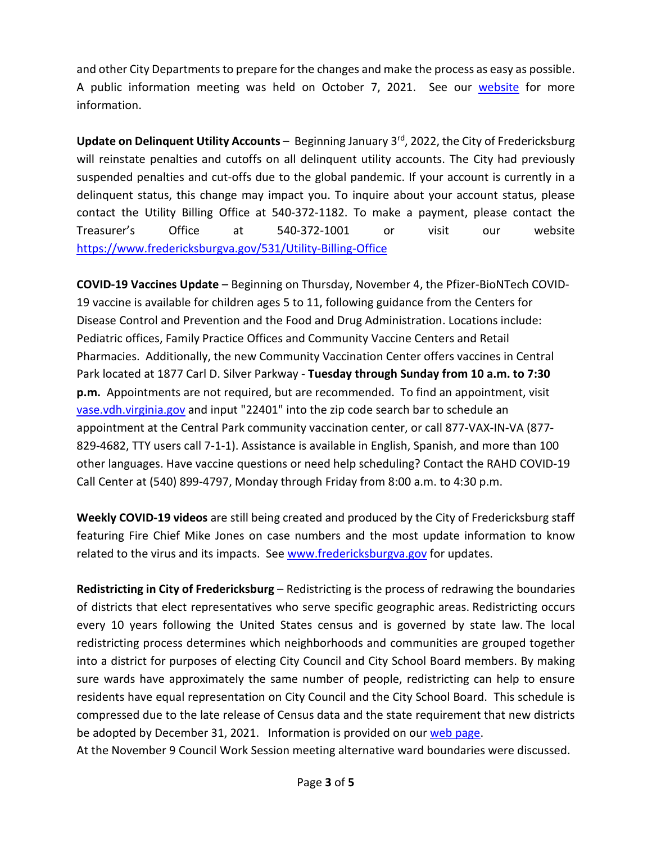and other City Departments to prepare for the changes and make the process as easy as possible. A public information meeting was held on October 7, 2021. See our [website](https://www.fredericksburgva.gov/1775/Renaming-Jefferson-Davis-Highway) for more information.

**Update on Delinquent Utility Accounts** – Beginning January 3rd, 2022, the City of Fredericksburg will reinstate penalties and cutoffs on all delinquent utility accounts. The City had previously suspended penalties and cut-offs due to the global pandemic. If your account is currently in a delinquent status, this change may impact you. To inquire about your account status, please contact the Utility Billing Office at 540-372-1182. To make a payment, please contact the Treasurer's Office at 540-372-1001 or visit our website [https://www.fredericksburgva.gov/531/Utility-Billing-Office](https://www.fredericksburgva.gov/531/Utility-Billing-Office?fbclid=IwAR0VdHB18QftYAdbYPQ-gkkvBMUQqRJtjgmQRx-sBpqUFKdfyzv0CFLgXI0)

**COVID-19 Vaccines Update** – Beginning on Thursday, November 4, the Pfizer-BioNTech COVID-19 vaccine is available for children ages 5 to 11, following guidance from the Centers for Disease Control and Prevention and the Food and Drug Administration. Locations include: Pediatric offices, Family Practice Offices and Community Vaccine Centers and Retail Pharmacies. Additionally, the new Community Vaccination Center offers vaccines in Central Park located at 1877 Carl D. Silver Parkway - **Tuesday through Sunday from 10 a.m. to 7:30 p.m.** Appointments are not required, but are recommended. To find an appointment, visit [vase.vdh.virginia.gov](http://vase.vdh.virginia.gov/) and input "22401" into the zip code search bar to schedule an appointment at the Central Park community vaccination center, or call 877-VAX-IN-VA (877- 829-4682, TTY users call 7-1-1). Assistance is available in English, Spanish, and more than 100 other languages. Have vaccine questions or need help scheduling? Contact the RAHD COVID-19 Call Center at (540) 899-4797, Monday through Friday from 8:00 a.m. to 4:30 p.m.

**Weekly COVID-19 videos** are still being created and produced by the City of Fredericksburg staff featuring Fire Chief Mike Jones on case numbers and the most update information to know related to the virus and its impacts. See [www.fredericksburgva.gov](http://www.fredericksburgva.gov/) for updates.

**Redistricting in City of Fredericksburg** – Redistricting is the process of redrawing the boundaries of districts that elect representatives who serve specific geographic areas. Redistricting occurs every 10 years following the United States census and is governed by state law. The local redistricting process determines which neighborhoods and communities are grouped together into a district for purposes of electing City Council and City School Board members. By making sure wards have approximately the same number of people, redistricting can help to ensure residents have equal representation on City Council and the City School Board. This schedule is compressed due to the late release of Census data and the state requirement that new districts be adopted by December 31, 2021. Information is provided on our [web page.](https://www.fredericksburgva.gov/1793/Redistricting-in-City-of-Fredericksburg)

At the November 9 Council Work Session meeting alternative ward boundaries were discussed.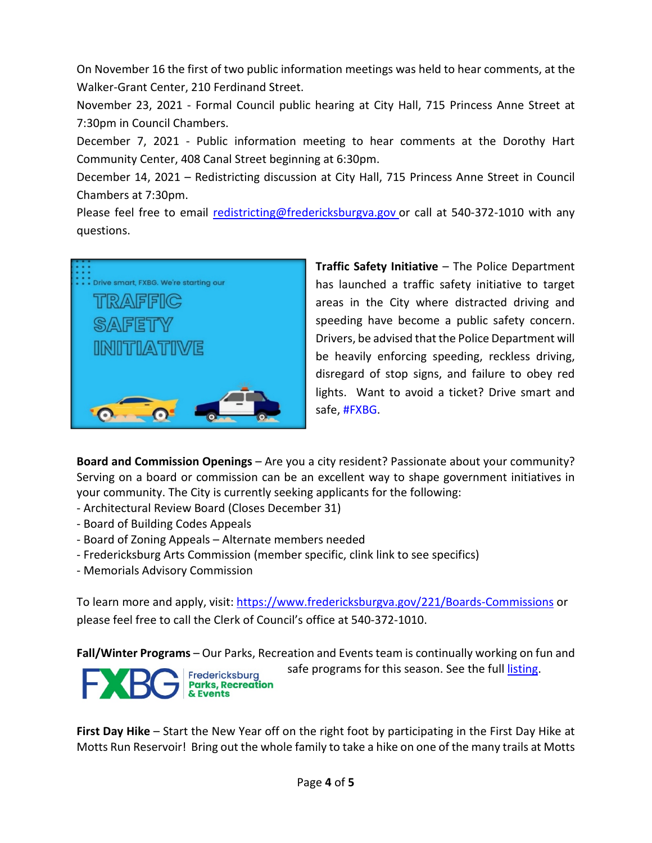On November 16 the first of two public information meetings was held to hear comments, at the Walker-Grant Center, 210 Ferdinand Street.

November 23, 2021 - Formal Council public hearing at City Hall, 715 Princess Anne Street at 7:30pm in Council Chambers.

December 7, 2021 - Public information meeting to hear comments at the Dorothy Hart Community Center, 408 Canal Street beginning at 6:30pm.

December 14, 2021 – Redistricting discussion at City Hall, 715 Princess Anne Street in Council Chambers at 7:30pm.

Please feel free to email [redistricting@fredericksburgva.gov](mailto:redistricting@fredericksburgva.gov) or call at 540-372-1010 with any questions.



**Traffic Safety Initiative** – The Police Department has launched a traffic safety initiative to target areas in the City where distracted driving and speeding have become a public safety concern. Drivers, be advised that the Police Department will be heavily enforcing speeding, reckless driving, disregard of stop signs, and failure to obey red lights. Want to avoid a ticket? Drive smart and safe, [#FXBG.](https://www.facebook.com/hashtag/fxbg?__eep__=6&__cft__%5b0%5d=AZWMm412bROIAlbQjxD2trcL3Q6v8XYnqGiab-pzxHyZlK2AO3wgxGBRUI7RVwNBLZmZ2AFcmkMI1noIapNQk5FV0YxTW81lYx9j2ZUaF9IJx3uquxKREP9bHkNftL_yP_oJd-S6PtYkPbEURGNVAWGUif-leaDtL7Fd9G0WEMmZNw&__tn__=*NK-R)

**Board and Commission Openings** – Are you a city resident? Passionate about your community? Serving on a board or commission can be an excellent way to shape government initiatives in your community. The City is currently seeking applicants for the following:

- Architectural Review Board (Closes December 31)

**& Events** 

- Board of Building Codes Appeals
- Board of Zoning Appeals Alternate members needed
- Fredericksburg Arts Commission (member specific, clink link to see specifics)
- Memorials Advisory Commission

To learn more and apply, visit: [https://www.fredericksburgva.gov/221/Boards-Commissions](https://www.fredericksburgva.gov/221/Boards-Commissions?fbclid=IwAR3Swf9IZu1tYdO_SK6yHxjMXxdd4Ba6LVkEpP0zTgegU6_SRsXEh2JIYGY) or please feel free to call the Clerk of Council's office at 540-372-1010.

**Fall/Winter Programs** – Our Parks, Recreation and Events team is continually working on fun and safe programs for this season. See the full [listing.](https://va-fredericksburg2.civicplus.com/363/Parks-Recreation-Events) Fredericksburg **Parks, Recreation** 

**First Day Hike** – Start the New Year off on the right foot by participating in the First Day Hike at Motts Run Reservoir! Bring out the whole family to take a hike on one of the many trails at Motts